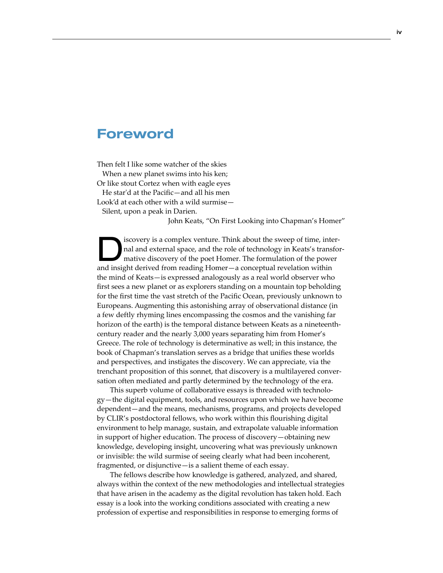## Foreword

Then felt I like some watcher of the skies When a new planet swims into his ken; Or like stout Cortez when with eagle eyes He star'd at the Pacific—and all his men Look'd at each other with a wild surmise—

Silent, upon a peak in Darien.

John Keats, "On First Looking into Chapman's Homer"

Iscovery is a complex venture. Think about the sweep of time, inter-<br>nal and external space, and the role of technology in Keats's transformative discovery of the poet Homer. The formulation of the power nal and external space, and the role of technology in Keats's transforand insight derived from reading Homer—a conceptual revelation within the mind of Keats—is expressed analogously as a real world observer who first sees a new planet or as explorers standing on a mountain top beholding for the first time the vast stretch of the Pacific Ocean, previously unknown to Europeans. Augmenting this astonishing array of observational distance (in a few deftly rhyming lines encompassing the cosmos and the vanishing far horizon of the earth) is the temporal distance between Keats as a nineteenthcentury reader and the nearly 3,000 years separating him from Homer's Greece. The role of technology is determinative as well; in this instance, the book of Chapman's translation serves as a bridge that unifies these worlds and perspectives, and instigates the discovery. We can appreciate, via the trenchant proposition of this sonnet, that discovery is a multilayered conversation often mediated and partly determined by the technology of the era.

This superb volume of collaborative essays is threaded with technology—the digital equipment, tools, and resources upon which we have become dependent—and the means, mechanisms, programs, and projects developed by CLIR's postdoctoral fellows, who work within this flourishing digital environment to help manage, sustain, and extrapolate valuable information in support of higher education. The process of discovery—obtaining new knowledge, developing insight, uncovering what was previously unknown or invisible: the wild surmise of seeing clearly what had been incoherent, fragmented, or disjunctive—is a salient theme of each essay.

The fellows describe how knowledge is gathered, analyzed, and shared, always within the context of the new methodologies and intellectual strategies that have arisen in the academy as the digital revolution has taken hold. Each essay is a look into the working conditions associated with creating a new profession of expertise and responsibilities in response to emerging forms of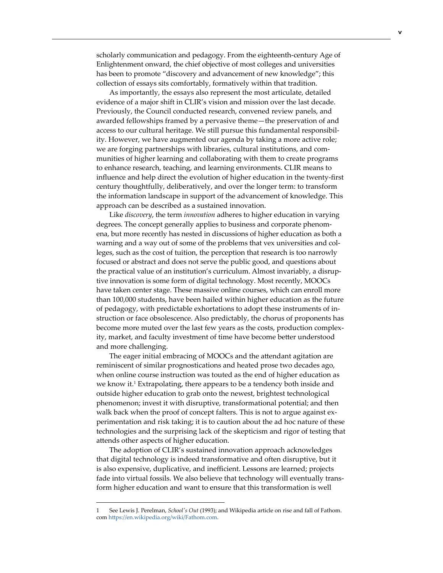scholarly communication and pedagogy. From the eighteenth-century Age of Enlightenment onward, the chief objective of most colleges and universities has been to promote "discovery and advancement of new knowledge"; this collection of essays sits comfortably, formatively within that tradition.

As importantly, the essays also represent the most articulate, detailed evidence of a major shift in CLIR's vision and mission over the last decade. Previously, the Council conducted research, convened review panels, and awarded fellowships framed by a pervasive theme—the preservation of and access to our cultural heritage. We still pursue this fundamental responsibility. However, we have augmented our agenda by taking a more active role; we are forging partnerships with libraries, cultural institutions, and communities of higher learning and collaborating with them to create programs to enhance research, teaching, and learning environments. CLIR means to influence and help direct the evolution of higher education in the twenty-first century thoughtfully, deliberatively, and over the longer term: to transform the information landscape in support of the advancement of knowledge. This approach can be described as a sustained innovation.

Like *discovery*, the term *innovation* adheres to higher education in varying degrees. The concept generally applies to business and corporate phenomena, but more recently has nested in discussions of higher education as both a warning and a way out of some of the problems that vex universities and colleges, such as the cost of tuition, the perception that research is too narrowly focused or abstract and does not serve the public good, and questions about the practical value of an institution's curriculum. Almost invariably, a disruptive innovation is some form of digital technology. Most recently, MOOCs have taken center stage. These massive online courses, which can enroll more than 100,000 students, have been hailed within higher education as the future of pedagogy, with predictable exhortations to adopt these instruments of instruction or face obsolescence. Also predictably, the chorus of proponents has become more muted over the last few years as the costs, production complexity, market, and faculty investment of time have become better understood and more challenging.

The eager initial embracing of MOOCs and the attendant agitation are reminiscent of similar prognostications and heated prose two decades ago, when online course instruction was touted as the end of higher education as we know it.<sup>1</sup> Extrapolating, there appears to be a tendency both inside and outside higher education to grab onto the newest, brightest technological phenomenon; invest it with disruptive, transformational potential; and then walk back when the proof of concept falters. This is not to argue against experimentation and risk taking; it is to caution about the ad hoc nature of these technologies and the surprising lack of the skepticism and rigor of testing that attends other aspects of higher education.

The adoption of CLIR's sustained innovation approach acknowledges that digital technology is indeed transformative and often disruptive, but it is also expensive, duplicative, and inefficient. Lessons are learned; projects fade into virtual fossils. We also believe that technology will eventually transform higher education and want to ensure that this transformation is well

<sup>1</sup> See Lewis J. Perelman, *School's Out* (1993); and Wikipedia article on rise and fall of Fathom. com<https://en.wikipedia.org/wiki/Fathom.com>.